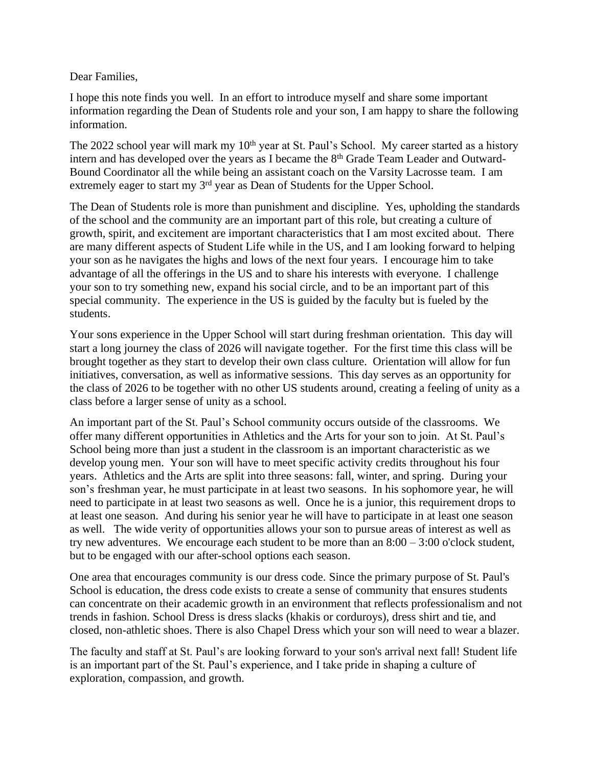Dear Families,

I hope this note finds you well. In an effort to introduce myself and share some important information regarding the Dean of Students role and your son, I am happy to share the following information.

The 2022 school year will mark my 10<sup>th</sup> year at St. Paul's School. My career started as a history intern and has developed over the years as I became the 8<sup>th</sup> Grade Team Leader and Outward-Bound Coordinator all the while being an assistant coach on the Varsity Lacrosse team. I am extremely eager to start my 3<sup>rd</sup> year as Dean of Students for the Upper School.

The Dean of Students role is more than punishment and discipline. Yes, upholding the standards of the school and the community are an important part of this role, but creating a culture of growth, spirit, and excitement are important characteristics that I am most excited about. There are many different aspects of Student Life while in the US, and I am looking forward to helping your son as he navigates the highs and lows of the next four years. I encourage him to take advantage of all the offerings in the US and to share his interests with everyone. I challenge your son to try something new, expand his social circle, and to be an important part of this special community. The experience in the US is guided by the faculty but is fueled by the students.

Your sons experience in the Upper School will start during freshman orientation. This day will start a long journey the class of 2026 will navigate together. For the first time this class will be brought together as they start to develop their own class culture. Orientation will allow for fun initiatives, conversation, as well as informative sessions. This day serves as an opportunity for the class of 2026 to be together with no other US students around, creating a feeling of unity as a class before a larger sense of unity as a school.

An important part of the St. Paul's School community occurs outside of the classrooms. We offer many different opportunities in Athletics and the Arts for your son to join. At St. Paul's School being more than just a student in the classroom is an important characteristic as we develop young men. Your son will have to meet specific activity credits throughout his four years. Athletics and the Arts are split into three seasons: fall, winter, and spring. During your son's freshman year, he must participate in at least two seasons. In his sophomore year, he will need to participate in at least two seasons as well. Once he is a junior, this requirement drops to at least one season. And during his senior year he will have to participate in at least one season as well. The wide verity of opportunities allows your son to pursue areas of interest as well as try new adventures. We encourage each student to be more than an  $8:00 - 3:00$  o'clock student, but to be engaged with our after-school options each season.

One area that encourages community is our dress code. Since the primary purpose of St. Paul's School is education, the dress code exists to create a sense of community that ensures students can concentrate on their academic growth in an environment that reflects professionalism and not trends in fashion. School Dress is dress slacks (khakis or corduroys), dress shirt and tie, and closed, non-athletic shoes. There is also Chapel Dress which your son will need to wear a blazer.

The faculty and staff at St. Paul's are looking forward to your son's arrival next fall! Student life is an important part of the St. Paul's experience, and I take pride in shaping a culture of exploration, compassion, and growth.